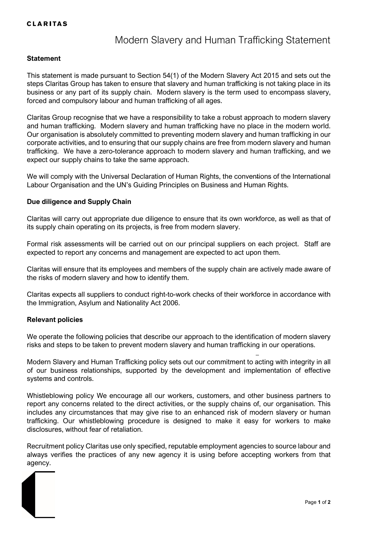### **CLARITAS**

# Modern Slavery and Human Trafficking Statement

#### **Statement**

This statement is made pursuant to Section 54(1) of the Modern Slavery Act 2015 and sets out the steps Claritas Group has taken to ensure that slavery and human trafficking is not taking place in its business or any part of its supply chain. Modern slavery is the term used to encompass slavery, forced and compulsory labour and human trafficking of all ages.

Claritas Group recognise that we have a responsibility to take a robust approach to modern slavery and human trafficking. Modern slavery and human trafficking have no place in the modern world. Our organisation is absolutely committed to preventing modern slavery and human trafficking in our corporate activities, and to ensuring that our supply chains are free from modern slavery and human trafficking. We have a zero-tolerance approach to modern slavery and human trafficking, and we expect our supply chains to take the same approach.

We will comply with the Universal Declaration of Human Rights, the conventions of the International Labour Organisation and the UN's Guiding Principles on Business and Human Rights.

#### **Due diligence and Supply Chain**

Claritas will carry out appropriate due diligence to ensure that its own workforce, as well as that of its supply chain operating on its projects, is free from modern slavery.

Formal risk assessments will be carried out on our principal suppliers on each project. Staff are expected to report any concerns and management are expected to act upon them.

Claritas will ensure that its employees and members of the supply chain are actively made aware of the risks of modern slavery and how to identify them.

Claritas expects all suppliers to conduct right-to-work checks of their workforce in accordance with the Immigration, Asylum and Nationality Act 2006.

#### **Relevant policies**

We operate the following policies that describe our approach to the identification of modern slavery risks and steps to be taken to prevent modern slavery and human trafficking in our operations.

Modern Slavery and Human Trafficking policy sets out our commitment to acting with integrity in all of our business relationships, supported by the development and implementation of effective systems and controls.

Whistleblowing policy We encourage all our workers, customers, and other business partners to report any concerns related to the direct activities, or the supply chains of, our organisation. This includes any circumstances that may give rise to an enhanced risk of modern slavery or human trafficking. Our whistleblowing procedure is designed to make it easy for workers to make disclosures, without fear of retaliation.

Recruitment policy Claritas use only specified, reputable employment agencies to source labour and always verifies the practices of any new agency it is using before accepting workers from that agency.